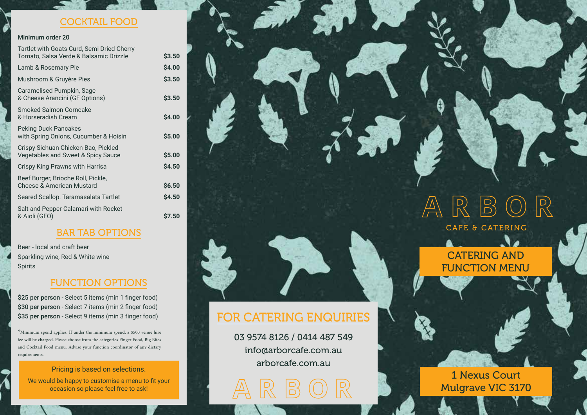#### COCKTAIL FOOD

#### Minimum order 20

| Tartlet with Goats Curd, Semi Dried Cherry<br>Tomato, Salsa Verde & Balsamic Drizzle | \$3.50 |
|--------------------------------------------------------------------------------------|--------|
| Lamb & Rosemary Pie                                                                  | \$4.00 |
| Mushroom & Gruyère Pies                                                              | \$3.50 |
| Caramelised Pumpkin, Sage<br>& Cheese Arancini (GF Options)                          | \$3.50 |
| <b>Smoked Salmon Corncake</b><br>& Horseradish Cream                                 | \$4.00 |
| <b>Peking Duck Pancakes</b><br>with Spring Onions, Cucumber & Hoisin                 | \$5.00 |
| Crispy Sichuan Chicken Bao, Pickled<br>Vegetables and Sweet & Spicy Sauce            | \$5.00 |
| Crispy King Prawns with Harrisa                                                      | \$4.50 |
| Beef Burger, Brioche Roll, Pickle,<br><b>Cheese &amp; American Mustard</b>           | \$6.50 |
| Seared Scallop. Taramasalata Tartlet                                                 | \$4.50 |
| Salt and Pepper Calamari with Rocket<br>& Aioli (GFO)                                | \$7.50 |
|                                                                                      |        |

### BAR TAB OPTIONS

Beer - local and craft beer Sparkling wine, Red & White wine Spirits

### FUNCTION OPTIONS

FOR CATERING ENQUIRIES

03 9574 8126 / 0414 487 549 info@arborcafe.com.au arborcafe.com.au

\$25 per person - Select 5 items (min 1 finger food) \$30 per person - Select 7 items (min 2 finger food) \$35 per person - Select 9 items (min 3 finger food)

 $*$  Minimum spend applies. If under the minimum spend, a \$500 venue hire fee will be charged. Please choose from the categories Finger Food, Big Bites and Cocktail Food menu. Advise your function coordinator of any dietar

#### Pricing is based on selections.

We would be happy to customise a menu to fit your occasion so please feel free to ask!

## $\mathbb{R}$  $\mathbb{R}$  $\left| \begin{matrix} D \\ D \end{matrix} \right|$ CAFE & CATERING

CATERING AND FUNCTION MENU

1 Nexus Court Mulgrave VIC 3170